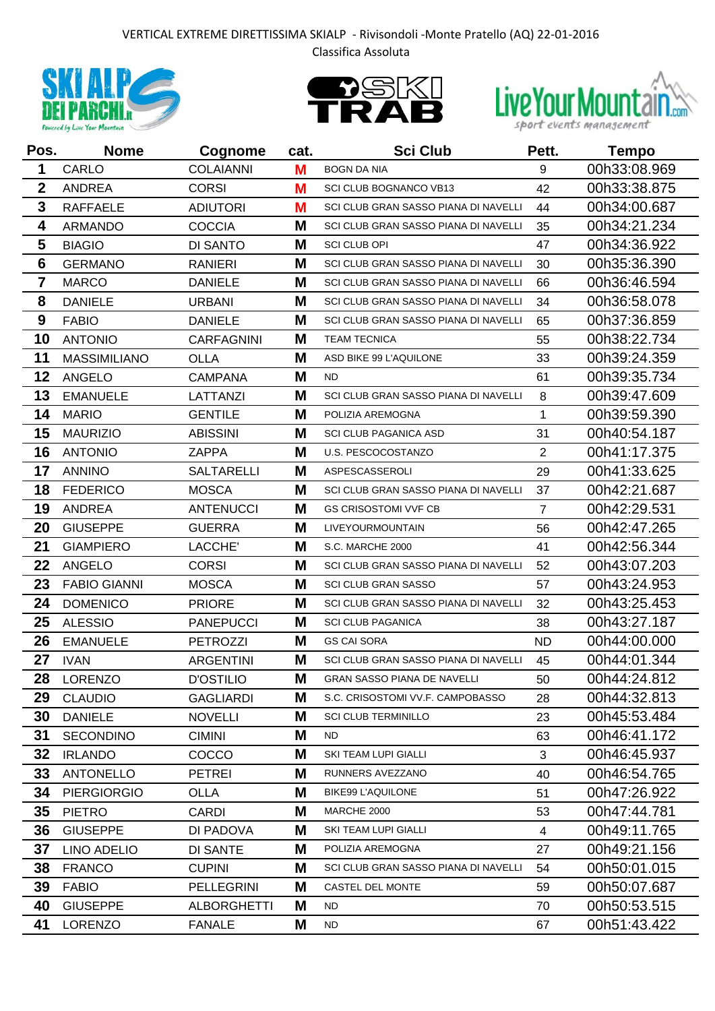## VERTICAL EXTREME DIRETTISSIMA SKIALP - Rivisondoli -Monte Pratello (AQ) 22-01-2016 Classifica Assoluta







| Pos.             | <b>Nome</b>         | Cognome            | cat. | <b>Sci Club</b>                      | Pett.          | <b>Tempo</b> |
|------------------|---------------------|--------------------|------|--------------------------------------|----------------|--------------|
| 1                | CARLO               | <b>COLAIANNI</b>   | M    | <b>BOGN DA NIA</b>                   | 9              | 00h33:08.969 |
| $\boldsymbol{2}$ | <b>ANDREA</b>       | <b>CORSI</b>       | M    | <b>SCI CLUB BOGNANCO VB13</b>        | 42             | 00h33:38.875 |
| 3                | <b>RAFFAELE</b>     | <b>ADIUTORI</b>    | M    | SCI CLUB GRAN SASSO PIANA DI NAVELLI | 44             | 00h34:00.687 |
| 4                | <b>ARMANDO</b>      | <b>COCCIA</b>      | M    | SCI CLUB GRAN SASSO PIANA DI NAVELLI | 35             | 00h34:21.234 |
| 5                | <b>BIAGIO</b>       | DI SANTO           | M    | <b>SCI CLUB OPI</b>                  | 47             | 00h34:36.922 |
| $6\phantom{1}6$  | <b>GERMANO</b>      | <b>RANIERI</b>     | M    | SCI CLUB GRAN SASSO PIANA DI NAVELLI | 30             | 00h35:36.390 |
| $\overline{7}$   | <b>MARCO</b>        | <b>DANIELE</b>     | M    | SCLCLUB GRAN SASSO PIANA DI NAVELLI  | 66             | 00h36:46.594 |
| 8                | <b>DANIELE</b>      | <b>URBANI</b>      | M    | SCI CLUB GRAN SASSO PIANA DI NAVELLI | 34             | 00h36:58.078 |
| 9                | <b>FABIO</b>        | <b>DANIELE</b>     | M    | SCI CLUB GRAN SASSO PIANA DI NAVELLI | 65             | 00h37:36.859 |
| 10               | <b>ANTONIO</b>      | <b>CARFAGNINI</b>  | M    | <b>TEAM TECNICA</b>                  | 55             | 00h38:22.734 |
| 11               | <b>MASSIMILIANO</b> | <b>OLLA</b>        | M    | ASD BIKE 99 L'AQUILONE               | 33             | 00h39:24.359 |
| 12               | <b>ANGELO</b>       | <b>CAMPANA</b>     | M    | <b>ND</b>                            | 61             | 00h39:35.734 |
| 13               | <b>EMANUELE</b>     | LATTANZI           | M    | SCI CLUB GRAN SASSO PIANA DI NAVELLI | 8              | 00h39:47.609 |
| 14               | <b>MARIO</b>        | <b>GENTILE</b>     | M    | POLIZIA AREMOGNA                     | 1              | 00h39:59.390 |
| 15               | <b>MAURIZIO</b>     | <b>ABISSINI</b>    | M    | <b>SCI CLUB PAGANICA ASD</b>         | 31             | 00h40:54.187 |
| 16               | <b>ANTONIO</b>      | <b>ZAPPA</b>       | M    | U.S. PESCOCOSTANZO                   | $\overline{2}$ | 00h41:17.375 |
| 17               | <b>ANNINO</b>       | <b>SALTARELLI</b>  | M    | <b>ASPESCASSEROLI</b>                | 29             | 00h41:33.625 |
| 18               | <b>FEDERICO</b>     | <b>MOSCA</b>       | M    | SCI CLUB GRAN SASSO PIANA DI NAVELLI | 37             | 00h42:21.687 |
| 19               | <b>ANDREA</b>       | <b>ANTENUCCI</b>   | M    | <b>GS CRISOSTOMI VVF CB</b>          | $\overline{7}$ | 00h42:29.531 |
| 20               | <b>GIUSEPPE</b>     | <b>GUERRA</b>      | M    | <b>LIVEYOURMOUNTAIN</b>              | 56             | 00h42:47.265 |
| 21               | <b>GIAMPIERO</b>    | LACCHE'            | M    | S.C. MARCHE 2000                     | 41             | 00h42:56.344 |
| 22               | <b>ANGELO</b>       | <b>CORSI</b>       | M    | SCI CLUB GRAN SASSO PIANA DI NAVELLI | 52             | 00h43:07.203 |
| 23               | <b>FABIO GIANNI</b> | <b>MOSCA</b>       | M    | <b>SCI CLUB GRAN SASSO</b>           | 57             | 00h43:24.953 |
| 24               | <b>DOMENICO</b>     | <b>PRIORE</b>      | M    | SCI CLUB GRAN SASSO PIANA DI NAVELLI | 32             | 00h43:25.453 |
| 25               | <b>ALESSIO</b>      | <b>PANEPUCCI</b>   | M    | <b>SCI CLUB PAGANICA</b>             | 38             | 00h43:27.187 |
| 26               | <b>EMANUELE</b>     | <b>PETROZZI</b>    | M    | <b>GS CAI SORA</b>                   | <b>ND</b>      | 00h44:00.000 |
| 27               | <b>IVAN</b>         | <b>ARGENTINI</b>   | M    | SCI CLUB GRAN SASSO PIANA DI NAVELLI | 45             | 00h44:01.344 |
| 28               | <b>LORENZO</b>      | <b>D'OSTILIO</b>   | M    | <b>GRAN SASSO PIANA DE NAVELLI</b>   | 50             | 00h44:24.812 |
| 29               | <b>CLAUDIO</b>      | <b>GAGLIARDI</b>   | M    | S.C. CRISOSTOMI VV.F. CAMPOBASSO     | 28             | 00h44:32.813 |
| 30               | <b>DANIELE</b>      | <b>NOVELLI</b>     | M    | <b>SCI CLUB TERMINILLO</b>           | 23             | 00h45:53.484 |
| 31               | <b>SECONDINO</b>    | <b>CIMINI</b>      | M    | <b>ND</b>                            | 63             | 00h46:41.172 |
| 32               | <b>IRLANDO</b>      | COCCO              | M    | SKI TEAM LUPI GIALLI                 | 3              | 00h46:45.937 |
| 33               | <b>ANTONELLO</b>    | <b>PETREI</b>      | M    | RUNNERS AVEZZANO                     | 40             | 00h46:54.765 |
| 34               | <b>PIERGIORGIO</b>  | <b>OLLA</b>        | M    | <b>BIKE99 L'AQUILONE</b>             | 51             | 00h47:26.922 |
| 35               | <b>PIETRO</b>       | <b>CARDI</b>       | M    | MARCHE 2000                          | 53             | 00h47:44.781 |
| 36               | <b>GIUSEPPE</b>     | DI PADOVA          | M    | SKI TEAM LUPI GIALLI                 | $\overline{4}$ | 00h49:11.765 |
| 37               | LINO ADELIO         | <b>DI SANTE</b>    | M    | POLIZIA AREMOGNA                     | 27             | 00h49:21.156 |
| 38               | <b>FRANCO</b>       | <b>CUPINI</b>      | M    | SCI CLUB GRAN SASSO PIANA DI NAVELLI | 54             | 00h50:01.015 |
| 39               | <b>FABIO</b>        | <b>PELLEGRINI</b>  | M    | CASTEL DEL MONTE                     | 59             | 00h50:07.687 |
| 40               | <b>GIUSEPPE</b>     | <b>ALBORGHETTI</b> | M    | ND.                                  | 70             | 00h50:53.515 |
| 41               | <b>LORENZO</b>      | <b>FANALE</b>      | M    | <b>ND</b>                            | 67             | 00h51:43.422 |